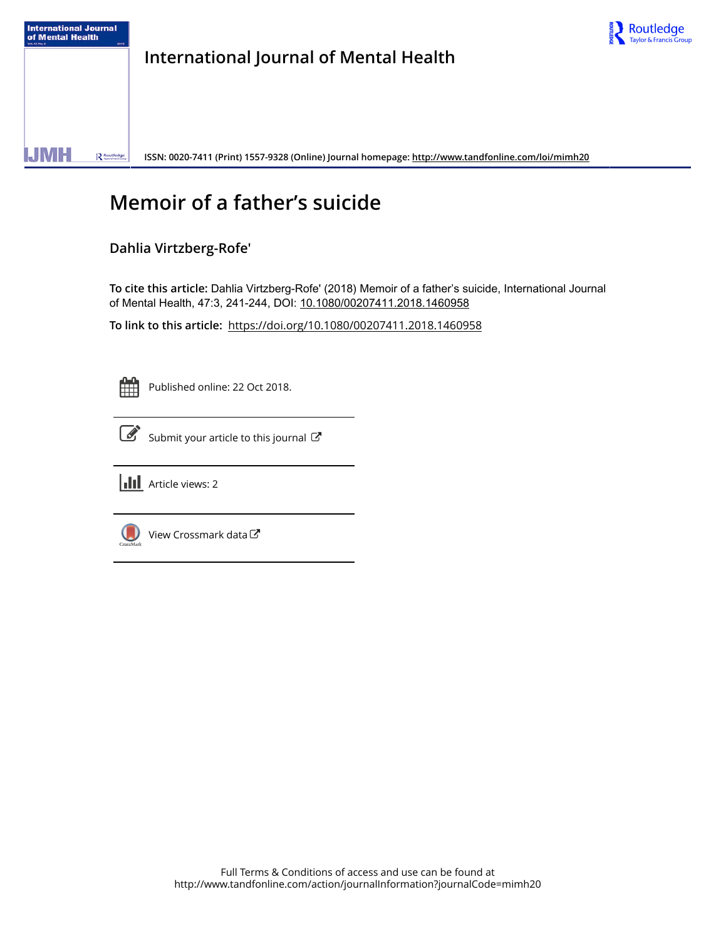

## **Memoir of a father's suicide**

## **Dahlia Virtzberg-Rofe'**

**To cite this article:** Dahlia Virtzberg-Rofe' (2018) Memoir of a father's suicide, International Journal of Mental Health, 47:3, 241-244, DOI: [10.1080/00207411.2018.1460958](http://www.tandfonline.com/action/showCitFormats?doi=10.1080/00207411.2018.1460958)

**To link to this article:** <https://doi.org/10.1080/00207411.2018.1460958>

Published online: 22 Oct 2018.



[Submit your article to this journal](http://www.tandfonline.com/action/authorSubmission?journalCode=mimh20&show=instructions)  $\mathbb{Z}$ 





[View Crossmark data](http://crossmark.crossref.org/dialog/?doi=10.1080/00207411.2018.1460958&domain=pdf&date_stamp=2018-10-22)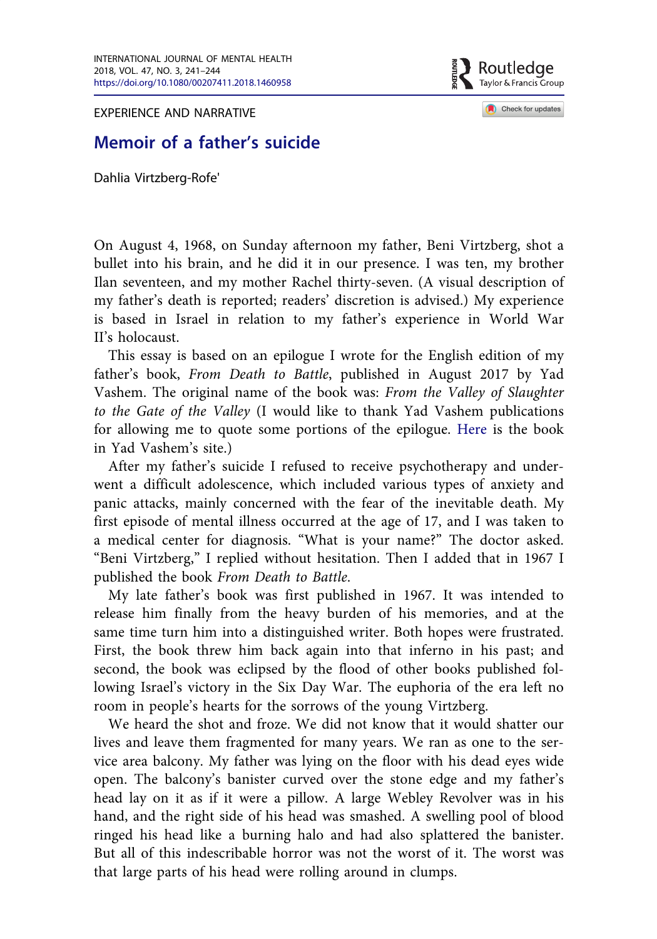

EXPERIENCE AND NARRATIVE

Check for updates

## Memoir of a father's suicide

Dahlia Virtzberg-Rofe'

On August 4, 1968, on Sunday afternoon my father, Beni Virtzberg, shot a bullet into his brain, and he did it in our presence. I was ten, my brother Ilan seventeen, and my mother Rachel thirty-seven. (A visual description of my father's death is reported; readers' discretion is advised.) My experience is based in Israel in relation to my father's experience in World War II's holocaust.

This essay is based on an epilogue I wrote for the English edition of my father's book, From Death to Battle, published in August 2017 by Yad Vashem. The original name of the book was: From the Valley of Slaughter to the Gate of the Valley (I would like to thank Yad Vashem publications for allowing me to quote some portions of the epilogue. [Here](http://secure.yadvashem.org/store/product.asp?productid=854) is the book in Yad Vashem's site.)

After my father's suicide I refused to receive psychotherapy and underwent a difficult adolescence, which included various types of anxiety and panic attacks, mainly concerned with the fear of the inevitable death. My first episode of mental illness occurred at the age of 17, and I was taken to a medical center for diagnosis. "What is your name?" The doctor asked. "Beni Virtzberg," I replied without hesitation. Then I added that in 1967 I published the book From Death to Battle.

My late father's book was first published in 1967. It was intended to release him finally from the heavy burden of his memories, and at the same time turn him into a distinguished writer. Both hopes were frustrated. First, the book threw him back again into that inferno in his past; and second, the book was eclipsed by the flood of other books published following Israel's victory in the Six Day War. The euphoria of the era left no room in people's hearts for the sorrows of the young Virtzberg.

We heard the shot and froze. We did not know that it would shatter our lives and leave them fragmented for many years. We ran as one to the service area balcony. My father was lying on the floor with his dead eyes wide open. The balcony's banister curved over the stone edge and my father's head lay on it as if it were a pillow. A large Webley Revolver was in his hand, and the right side of his head was smashed. A swelling pool of blood ringed his head like a burning halo and had also splattered the banister. But all of this indescribable horror was not the worst of it. The worst was that large parts of his head were rolling around in clumps.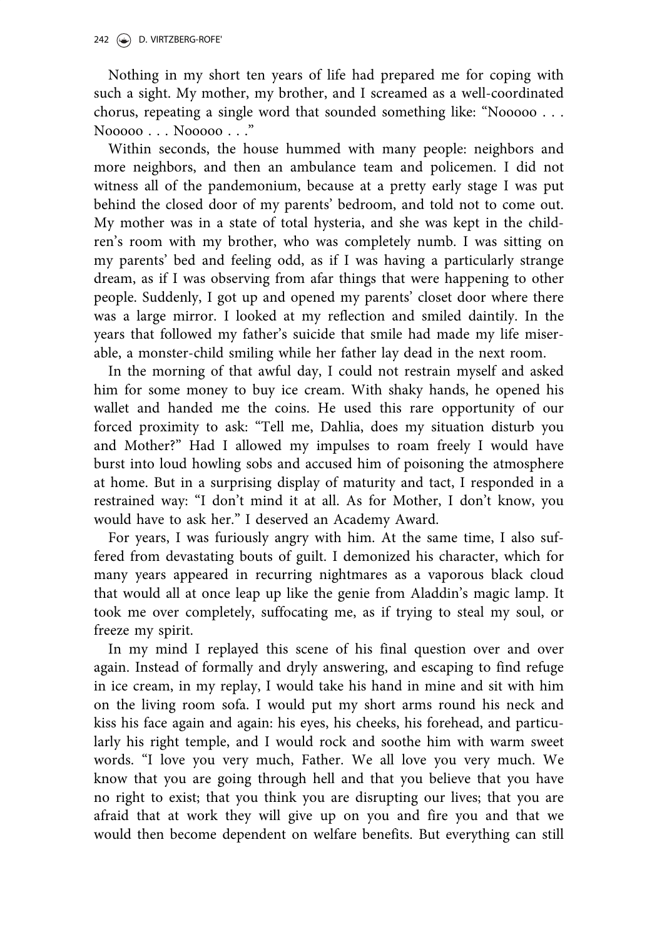Nothing in my short ten years of life had prepared me for coping with such a sight. My mother, my brother, and I screamed as a well-coordinated chorus, repeating a single word that sounded something like: "Nooooo . . . Nooooo . . . Nooooo . . ."

Within seconds, the house hummed with many people: neighbors and more neighbors, and then an ambulance team and policemen. I did not witness all of the pandemonium, because at a pretty early stage I was put behind the closed door of my parents' bedroom, and told not to come out. My mother was in a state of total hysteria, and she was kept in the children's room with my brother, who was completely numb. I was sitting on my parents' bed and feeling odd, as if I was having a particularly strange dream, as if I was observing from afar things that were happening to other people. Suddenly, I got up and opened my parents' closet door where there was a large mirror. I looked at my reflection and smiled daintily. In the years that followed my father's suicide that smile had made my life miserable, a monster-child smiling while her father lay dead in the next room.

In the morning of that awful day, I could not restrain myself and asked him for some money to buy ice cream. With shaky hands, he opened his wallet and handed me the coins. He used this rare opportunity of our forced proximity to ask: "Tell me, Dahlia, does my situation disturb you and Mother?" Had I allowed my impulses to roam freely I would have burst into loud howling sobs and accused him of poisoning the atmosphere at home. But in a surprising display of maturity and tact, I responded in a restrained way: "I don't mind it at all. As for Mother, I don't know, you would have to ask her." I deserved an Academy Award.

For years, I was furiously angry with him. At the same time, I also suffered from devastating bouts of guilt. I demonized his character, which for many years appeared in recurring nightmares as a vaporous black cloud that would all at once leap up like the genie from Aladdin's magic lamp. It took me over completely, suffocating me, as if trying to steal my soul, or freeze my spirit.

In my mind I replayed this scene of his final question over and over again. Instead of formally and dryly answering, and escaping to find refuge in ice cream, in my replay, I would take his hand in mine and sit with him on the living room sofa. I would put my short arms round his neck and kiss his face again and again: his eyes, his cheeks, his forehead, and particularly his right temple, and I would rock and soothe him with warm sweet words. "I love you very much, Father. We all love you very much. We know that you are going through hell and that you believe that you have no right to exist; that you think you are disrupting our lives; that you are afraid that at work they will give up on you and fire you and that we would then become dependent on welfare benefits. But everything can still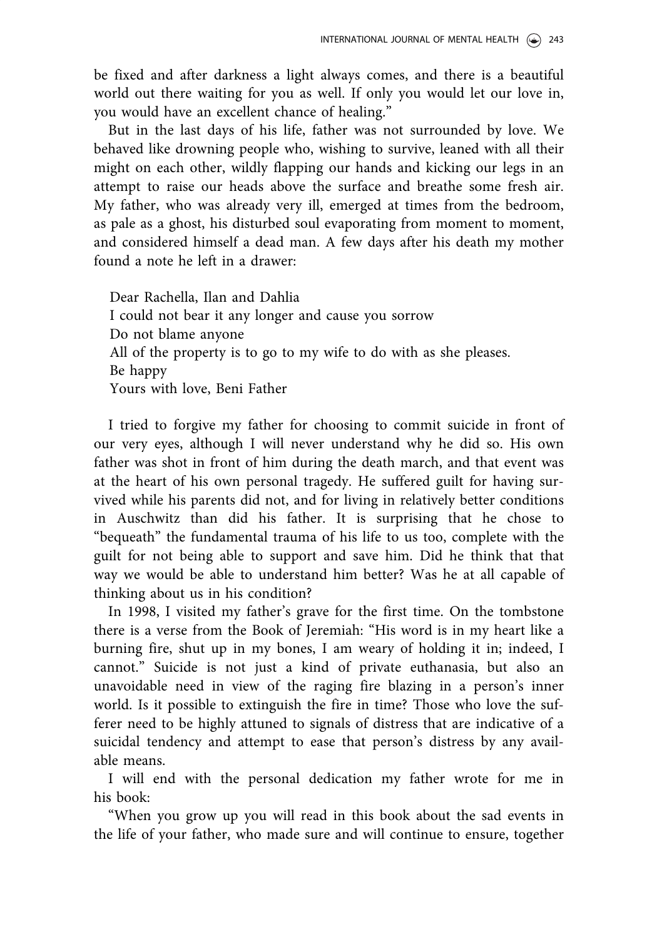be fixed and after darkness a light always comes, and there is a beautiful world out there waiting for you as well. If only you would let our love in, you would have an excellent chance of healing."

But in the last days of his life, father was not surrounded by love. We behaved like drowning people who, wishing to survive, leaned with all their might on each other, wildly flapping our hands and kicking our legs in an attempt to raise our heads above the surface and breathe some fresh air. My father, who was already very ill, emerged at times from the bedroom, as pale as a ghost, his disturbed soul evaporating from moment to moment, and considered himself a dead man. A few days after his death my mother found a note he left in a drawer:

Dear Rachella, Ilan and Dahlia I could not bear it any longer and cause you sorrow Do not blame anyone All of the property is to go to my wife to do with as she pleases. Be happy Yours with love, Beni Father

I tried to forgive my father for choosing to commit suicide in front of our very eyes, although I will never understand why he did so. His own father was shot in front of him during the death march, and that event was at the heart of his own personal tragedy. He suffered guilt for having survived while his parents did not, and for living in relatively better conditions in Auschwitz than did his father. It is surprising that he chose to "bequeath" the fundamental trauma of his life to us too, complete with the guilt for not being able to support and save him. Did he think that that way we would be able to understand him better? Was he at all capable of thinking about us in his condition?

In 1998, I visited my father's grave for the first time. On the tombstone there is a verse from the Book of Jeremiah: "His word is in my heart like a burning fire, shut up in my bones, I am weary of holding it in; indeed, I cannot." Suicide is not just a kind of private euthanasia, but also an unavoidable need in view of the raging fire blazing in a person's inner world. Is it possible to extinguish the fire in time? Those who love the sufferer need to be highly attuned to signals of distress that are indicative of a suicidal tendency and attempt to ease that person's distress by any available means.

I will end with the personal dedication my father wrote for me in his book:

"When you grow up you will read in this book about the sad events in the life of your father, who made sure and will continue to ensure, together